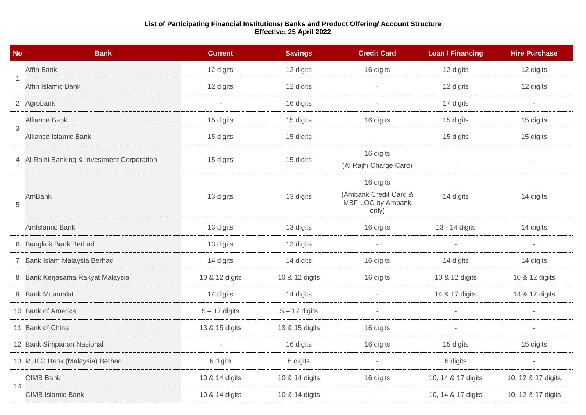## **List of Participating Financial Institutions/ Banks and Product Offering/ Account Structure Effective: 25 April 2022**

| <b>No</b> | <b>Bank</b>                                 | <b>Current</b>  | <b>Savings</b>  | <b>Credit Card</b>                                               | <b>Loan / Financing</b> | <b>Hire Purchase</b> |
|-----------|---------------------------------------------|-----------------|-----------------|------------------------------------------------------------------|-------------------------|----------------------|
|           | <b>Affin Bank</b>                           | 12 digits       | 12 digits       | 16 digits                                                        | 12 digits               | 12 digits            |
|           | Affin Islamic Bank                          | 12 digits       | 12 digits       |                                                                  | 12 digits               | 12 digits            |
|           | 2 Agrobank                                  |                 | 16 digits       |                                                                  | 17 digits               |                      |
| 3         | <b>Alliance Bank</b>                        | 15 digits       | 15 digits       | 16 digits                                                        | 15 digits               | 15 digits            |
|           | <b>Alliance Islamic Bank</b>                | 15 digits       | 15 digits       |                                                                  | 15 digits               | 15 digits            |
|           | 4 Al Rajhi Banking & Investment Corporation | 15 digits       | 15 digits       | 16 digits<br>(Al Rajhi Charge Card)                              |                         |                      |
| 5         | AmBank                                      | 13 digits       | 13 digits       | 16 digits<br>(Ambank Credit Card &<br>MBF-LOC by Ambank<br>only) | 14 digits               | 14 digits            |
|           | AmIslamic Bank                              | 13 digits       | 13 digits       | 16 digits                                                        | 13 - 14 digits          | 14 digits            |
|           | 6 Bangkok Bank Berhad                       | 13 digits       | 13 digits       |                                                                  |                         |                      |
|           | 7 Bank Islam Malaysia Berhad                | 14 digits       | 14 digits       | 16 digits                                                        | 14 digits               | 14 digits            |
|           | 8 Bank Kerjasama Rakyat Malaysia            | 10 & 12 digits  | 10 & 12 digits  | 16 digits                                                        | 10 & 12 digits          | 10 & 12 digits       |
|           | 9 Bank Muamalat                             | 14 digits       | 14 digits       |                                                                  | 14 & 17 digits          | 14 & 17 digits       |
|           | 10 Bank of America                          | $5 - 17$ digits | $5 - 17$ digits |                                                                  |                         |                      |
|           | 11 Bank of China                            | 13 & 15 digits  | 13 & 15 digits  | 16 digits                                                        |                         |                      |
|           | 12 Bank Simpanan Nasional                   |                 | 16 digits       | 16 digits                                                        | 15 digits               | 15 digits            |
|           | 13 MUFG Bank (Malaysia) Berhad              | 6 digits        | 6 digits        | $\overline{\phantom{a}}$                                         | 6 digits                |                      |
| 14        | <b>CIMB Bank</b>                            | 10 & 14 digits  | 10 & 14 digits  | 16 digits                                                        | 10, 14 & 17 digits      | 10, 12 & 17 digits   |
|           | <b>CIMB Islamic Bank</b>                    | 10 & 14 digits  | 10 & 14 digits  |                                                                  | 10, 14 & 17 digits      | 10, 12 & 17 digits   |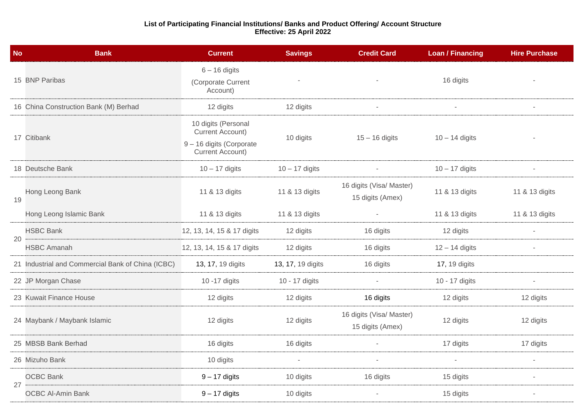## **List of Participating Financial Institutions/ Banks and Product Offering/ Account Structure Effective: 25 April 2022**

| <b>No</b> | <b>Bank</b>                                       | <b>Current</b>                                                                                        | <b>Savings</b>           | <b>Credit Card</b>                           | <b>Loan / Financing</b> | <b>Hire Purchase</b> |
|-----------|---------------------------------------------------|-------------------------------------------------------------------------------------------------------|--------------------------|----------------------------------------------|-------------------------|----------------------|
|           | 15 BNP Paribas                                    | $6 - 16$ digits<br>(Corporate Current<br>Account)                                                     |                          |                                              | 16 digits               |                      |
|           | 16 China Construction Bank (M) Berhad             | 12 digits                                                                                             | 12 digits                | $\overline{\phantom{a}}$                     |                         |                      |
|           | 17 Citibank                                       | 10 digits (Personal<br><b>Current Account)</b><br>9 - 16 digits (Corporate<br><b>Current Account)</b> | 10 digits                | $15 - 16$ digits                             | $10 - 14$ digits        |                      |
|           | 18 Deutsche Bank                                  | $10 - 17$ digits                                                                                      | $10 - 17$ digits         |                                              | $10 - 17$ digits        |                      |
| 19        | Hong Leong Bank                                   | 11 & 13 digits                                                                                        | 11 & 13 digits           | 16 digits (Visa/ Master)<br>15 digits (Amex) | 11 & 13 digits          | 11 & 13 digits       |
|           | Hong Leong Islamic Bank                           | 11 & 13 digits                                                                                        | 11 & 13 digits           |                                              | 11 & 13 digits          | 11 & 13 digits       |
| 20        | <b>HSBC Bank</b>                                  | 12, 13, 14, 15 & 17 digits                                                                            | 12 digits                | 16 digits                                    | 12 digits               |                      |
|           | <b>HSBC Amanah</b>                                | 12, 13, 14, 15 & 17 digits                                                                            | 12 digits                | 16 digits                                    | $12 - 14$ digits        | $\sim$               |
|           | 21 Industrial and Commercial Bank of China (ICBC) | 13, 17, 19 digits                                                                                     | 13, 17, 19 digits        | 16 digits                                    | <b>17, 19 digits</b>    |                      |
|           | 22 JP Morgan Chase                                | 10 - 17 digits                                                                                        | 10 - 17 digits           |                                              | 10 - 17 digits          |                      |
|           | 23 Kuwait Finance House                           | 12 digits                                                                                             | 12 digits                | 16 digits                                    | 12 digits               | 12 digits            |
|           | 24 Maybank / Maybank Islamic                      | 12 digits                                                                                             | 12 digits                | 16 digits (Visa/ Master)<br>15 digits (Amex) | 12 digits               | 12 digits            |
|           | 25 MBSB Bank Berhad                               | 16 digits                                                                                             | 16 digits                |                                              | 17 digits               | 17 digits            |
|           | 26 Mizuho Bank                                    | 10 digits                                                                                             | $\overline{\phantom{a}}$ | $\overline{\phantom{a}}$                     | $\sim$                  |                      |
| 27        | <b>OCBC Bank</b>                                  | $9 - 17$ digits                                                                                       | 10 digits                | 16 digits                                    | 15 digits               |                      |
|           | <b>OCBC Al-Amin Bank</b>                          | $9 - 17$ digits                                                                                       | 10 digits                |                                              | 15 digits               |                      |